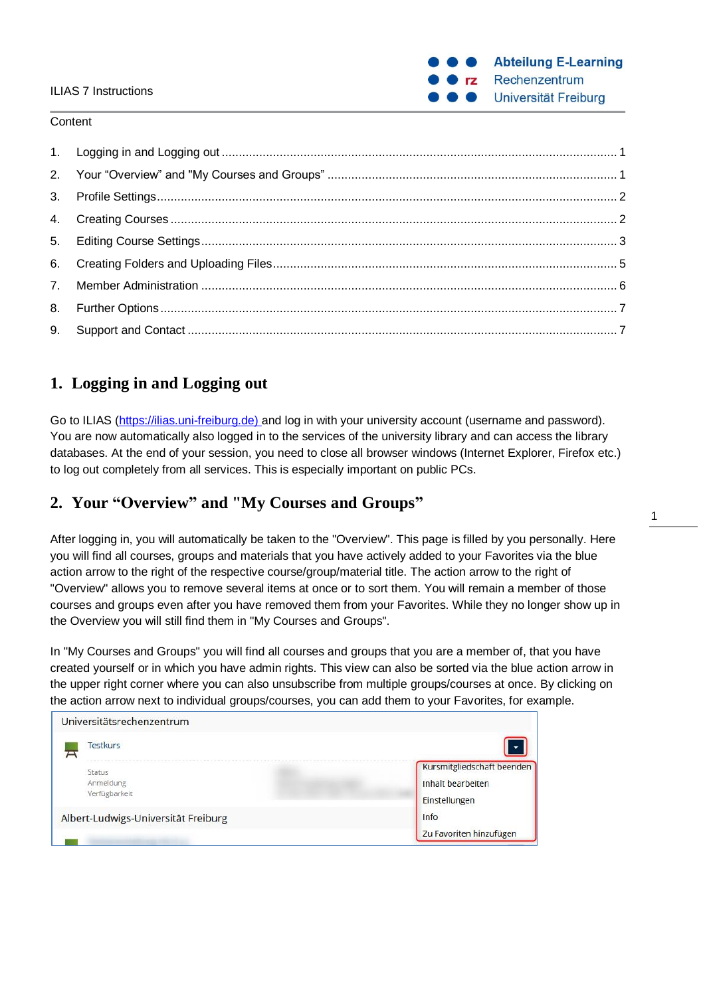## ILIAS 7 Instructions

#### **Content**

# <span id="page-0-0"></span>**1. Logging in and Logging out**

Go to ILIAS (https://ilias.uni-freiburg.de) and log in with your university account (username and password). You are now automatically also logged in to the services of the university library and can access the library databases. At the end of your session, you need to close all browser windows (Internet Explorer, Firefox etc.) to log out completely from all services. This is especially important on public PCs.

# <span id="page-0-1"></span>**2. Your "Overview" and "My Courses and Groups"**

After logging in, you will automatically be taken to the "Overview". This page is filled by you personally. Here you will find all courses, groups and materials that you have actively added to your Favorites via the blue action arrow to the right of the respective course/group/material title. The action arrow to the right of "Overview" allows you to remove several items at once or to sort them. You will remain a member of those courses and groups even after you have removed them from your Favorites. While they no longer show up in the Overview you will still find them in "My Courses and Groups".

In "My Courses and Groups" you will find all courses and groups that you are a member of, that you have created yourself or in which you have admin rights. This view can also be sorted via the blue action arrow in the upper right corner where you can also unsubscribe from multiple groups/courses at once. By clicking on the action arrow next to individual groups/courses, you can add them to your Favorites, for example.



**Abteilung E-Learning** 

Rechenzentrum

Universität Freiburg

 $rz$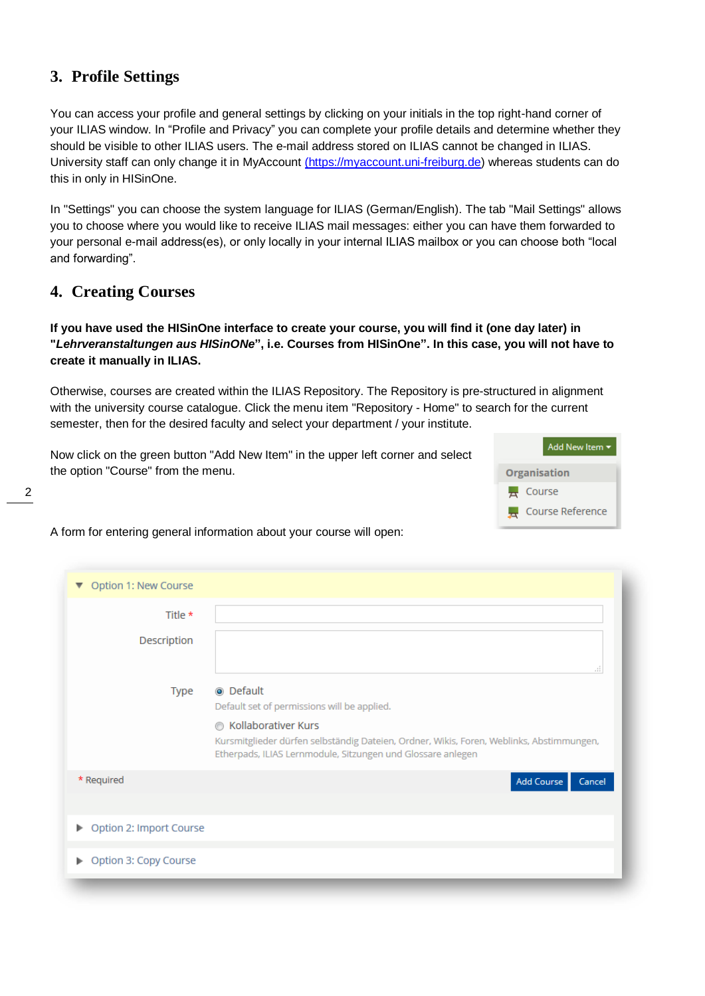# <span id="page-1-0"></span>**3. Profile Settings**

You can access your profile and general settings by clicking on your initials in the top right-hand corner of your ILIAS window. In "Profile and Privacy" you can complete your profile details and determine whether they should be visible to other ILIAS users. The e-mail address stored on ILIAS cannot be changed in ILIAS. University staff can only change it in MyAccount [\(https://myaccount.uni-freiburg.de\)](https://myaccount.uni-freiburg.de/) whereas students can do this in only in HISinOne.

In "Settings" you can choose the system language for ILIAS (German/English). The tab "Mail Settings" allows you to choose where you would like to receive ILIAS mail messages: either you can have them forwarded to your personal e-mail address(es), or only locally in your internal ILIAS mailbox or you can choose both "local and forwarding".

# <span id="page-1-1"></span>**4. Creating Courses**

2

**If you have used the HISinOne interface to create your course, you will find it (one day later) in "***Lehrveranstaltungen aus HISinONe***", i.e. Courses from HISinOne". In this case, you will not have to create it manually in ILIAS.**

Otherwise, courses are created within the ILIAS Repository. The Repository is pre-structured in alignment with the university course catalogue. Click the menu item "Repository - Home" to search for the current semester, then for the desired faculty and select your department / your institute.

Now click on the green button "Add New Item" in the upper left corner and select the option "Course" from the menu.



A form for entering general information about your course will open:

| Option 1: New Course<br>$\blacktriangledown$ |                                                                                                                                                                                                                                                            |
|----------------------------------------------|------------------------------------------------------------------------------------------------------------------------------------------------------------------------------------------------------------------------------------------------------------|
| Title *<br>Description                       | 111                                                                                                                                                                                                                                                        |
| Type                                         | <b>O</b> Default<br>Default set of permissions will be applied.<br><b>6 Kollaborativer Kurs</b><br>Kursmitglieder dürfen selbständig Dateien, Ordner, Wikis, Foren, Weblinks, Abstimmungen,<br>Etherpads, ILIAS Lernmodule, Sitzungen und Glossare anlegen |
| * Required                                   | Add Course<br>Cancel                                                                                                                                                                                                                                       |
| Option 2: Import Course<br>Þ.                |                                                                                                                                                                                                                                                            |
| Option 3: Copy Course                        |                                                                                                                                                                                                                                                            |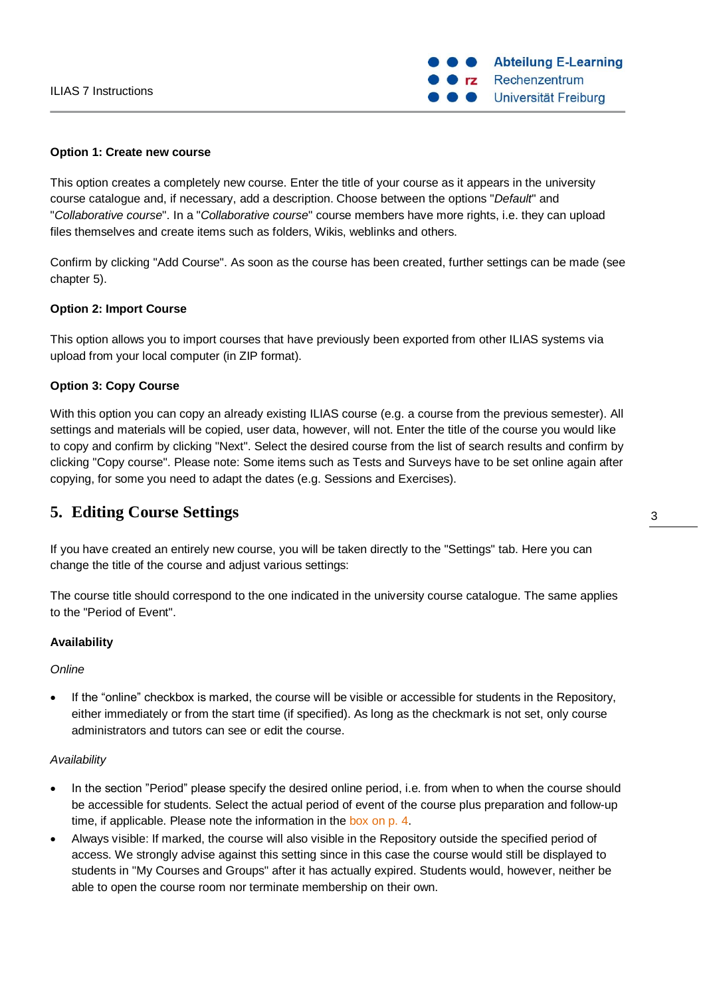#### **Option 1: Create new course**

This option creates a completely new course. Enter the title of your course as it appears in the university course catalogue and, if necessary, add a description. Choose between the options "*Default*" and "*Collaborative course*". In a "*Collaborative course*" course members have more rights, i.e. they can upload files themselves and create items such as folders, Wikis, weblinks and others.

Confirm by clicking "Add Course". As soon as the course has been created, further settings can be made (see chapter [5\)](#page-2-0).

#### **Option 2: Import Course**

This option allows you to import courses that have previously been exported from other ILIAS systems via upload from your local computer (in ZIP format).

## **Option 3: Copy Course**

With this option you can copy an already existing ILIAS course (e.g. a course from the previous semester). All settings and materials will be copied, user data, however, will not. Enter the title of the course you would like to copy and confirm by clicking "Next". Select the desired course from the list of search results and confirm by clicking "Copy course". Please note: Some items such as Tests and Surveys have to be set online again after copying, for some you need to adapt the dates (e.g. Sessions and Exercises).

## <span id="page-2-0"></span>**5. Editing Course Settings**

If you have created an entirely new course, you will be taken directly to the "Settings" tab. Here you can change the title of the course and adjust various settings:

The course title should correspond to the one indicated in the university course catalogue. The same applies to the "Period of Event".

## **Availability**

#### *Online*

 If the "online" checkbox is marked, the course will be visible or accessible for students in the Repository, either immediately or from the start time (if specified). As long as the checkmark is not set, only course administrators and tutors can see or edit the course.

#### *Availability*

- In the section "Period" please specify the desired online period, i.e. from when to when the course should be accessible for students. Select the actual period of event of the course plus preparation and follow-up time, if applicable. Please note the information in the box on p. 4.
- Always visible: If marked, the course will also visible in the Repository outside the specified period of access. We strongly advise against this setting since in this case the course would still be displayed to students in "My Courses and Groups" after it has actually expired. Students would, however, neither be able to open the course room nor terminate membership on their own.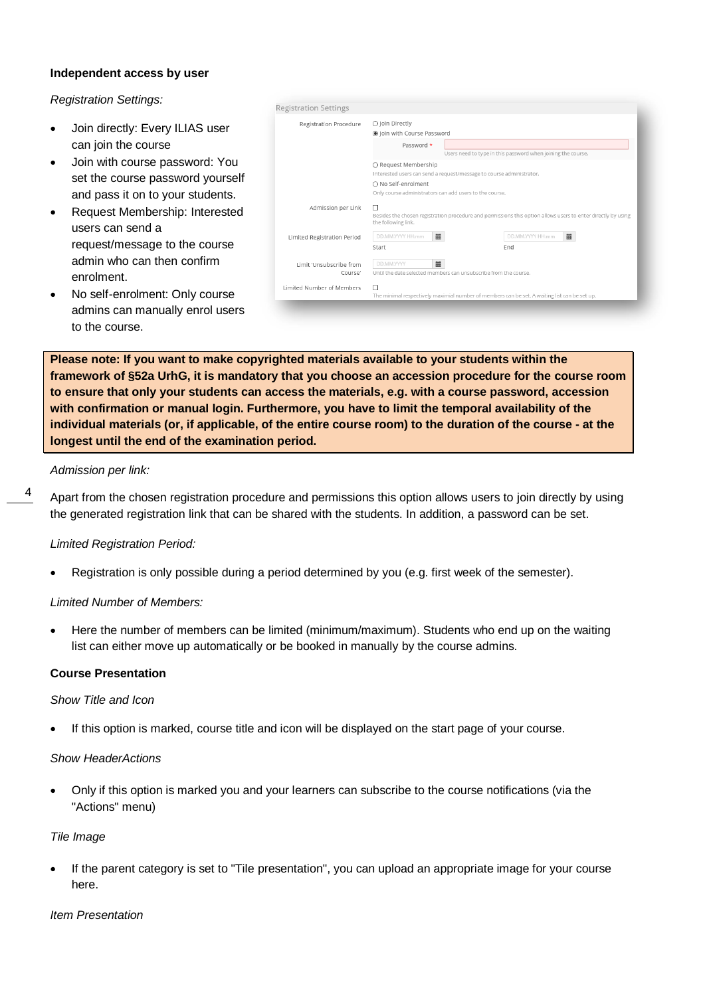### **Independent access by user**

*Registration Settings:* 

- Join directly: Every ILIAS user can join the course
- Join with course password: You set the course password yourself and pass it on to your students.
- Request Membership: Interested users can send a request/message to the course admin who can then confirm enrolment.
- No self-enrolment: Only course admins can manually enrol users to the course.

| Registration Procedure      | ○ Join Directly                                                                                                                           |                                                              |                  |   |  |
|-----------------------------|-------------------------------------------------------------------------------------------------------------------------------------------|--------------------------------------------------------------|------------------|---|--|
|                             | ◉ Join with Course Password                                                                                                               |                                                              |                  |   |  |
|                             | Password *                                                                                                                                | Users need to type in this password when joining the course. |                  |   |  |
|                             | ○ Request Membership                                                                                                                      |                                                              |                  |   |  |
|                             | Interested users can send a request/message to course administrator.                                                                      |                                                              |                  |   |  |
|                             | ○ No Self-enrolment                                                                                                                       |                                                              |                  |   |  |
|                             | Only course administrators can add users to the course.                                                                                   |                                                              |                  |   |  |
| Admission per Link          | П<br>Besides the chosen registration procedure and permissions this option allows users to enter directly by using<br>the following link. |                                                              |                  |   |  |
| Limited Registration Period | DD.MM.YYYY HH:mm                                                                                                                          | 篇                                                            | DD,MM,YYYY HH:mm | 篇 |  |
|                             | Start                                                                                                                                     |                                                              | Fnd              |   |  |
| Limit 'Unsubscribe from     | DD.MM.YYYY                                                                                                                                | $\equiv$                                                     |                  |   |  |
| Course'                     | Until the date selected members can unsubscribe from the course.                                                                          |                                                              |                  |   |  |
| Limited Number of Members   | П                                                                                                                                         |                                                              |                  |   |  |
|                             | The minimal respectively maximial number of members can be set. A waiting list can be set up.                                             |                                                              |                  |   |  |

**Please note: If you want to make copyrighted materials available to your students within the framework of §52a UrhG, it is mandatory that you choose an accession procedure for the course room to ensure that only your students can access the materials, e.g. with a course password, accession with confirmation or manual login. Furthermore, you have to limit the temporal availability of the individual materials (or, if applicable, of the entire course room) to the duration of the course - at the longest until the end of the examination period.**

### *Admission per link:*

4

Apart from the chosen registration procedure and permissions this option allows users to join directly by using the generated registration link that can be shared with the students. In addition, a password can be set.

## *Limited Registration Period:*

Registration is only possible during a period determined by you (e.g. first week of the semester).

## *Limited Number of Members:*

 Here the number of members can be limited (minimum/maximum). Students who end up on the waiting list can either move up automatically or be booked in manually by the course admins.

## **Course Presentation**

#### *Show Title and Icon*

If this option is marked, course title and icon will be displayed on the start page of your course.

#### *Show HeaderActions*

 Only if this option is marked you and your learners can subscribe to the course notifications (via the "Actions" menu)

#### *Tile Image*

 If the parent category is set to "Tile presentation", you can upload an appropriate image for your course here.

#### *Item Presentation*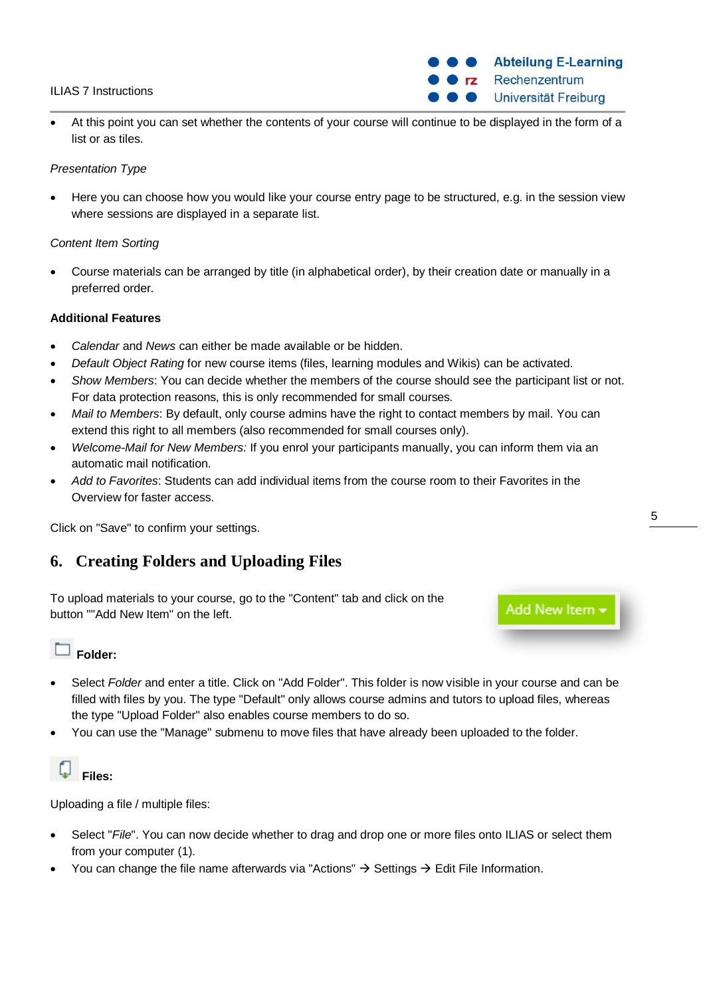## ILIAS 7 Instructions

 At this point you can set whether the contents of your course will continue to be displayed in the form of a list or as tiles.

## *Presentation Type*

 Here you can choose how you would like your course entry page to be structured, e.g. in the session view where sessions are displayed in a separate list.

## *Content Item Sorting*

 Course materials can be arranged by title (in alphabetical order), by their creation date or manually in a preferred order.

### **Additional Features**

- *Calendar* and *News* can either be made available or be hidden.
- *Default Object Rating* for new course items (files, learning modules and Wikis) can be activated.
- *Show Members*: You can decide whether the members of the course should see the participant list or not. For data protection reasons, this is only recommended for small courses.
- *Mail to Members*: By default, only course admins have the right to contact members by mail. You can extend this right to all members (also recommended for small courses only).
- *Welcome-Mail for New Members:* If you enrol your participants manually, you can inform them via an automatic mail notification.
- *Add to Favorites*: Students can add individual items from the course room to their Favorites in the Overview for faster access.

Click on "Save" to confirm your settings.

## <span id="page-4-0"></span>**6. Creating Folders and Uploading Files**

To upload materials to your course, go to the "Content" tab and click on the button ""Add New Item" on the left.

Add New Item

## **Folder:**

- Select *Folder* and enter a title. Click on "Add Folder". This folder is now visible in your course and can be filled with files by you. The type "Default" only allows course admins and tutors to upload files, whereas the type "Upload Folder" also enables course members to do so.
- You can use the "Manage" submenu to move files that have already been uploaded to the folder.



Uploading a file / multiple files:

- Select "*File*". You can now decide whether to drag and drop one or more files onto ILIAS or select them from your computer (1).
- You can change the file name afterwards via "Actions"  $\rightarrow$  Settings  $\rightarrow$  Edit File Information.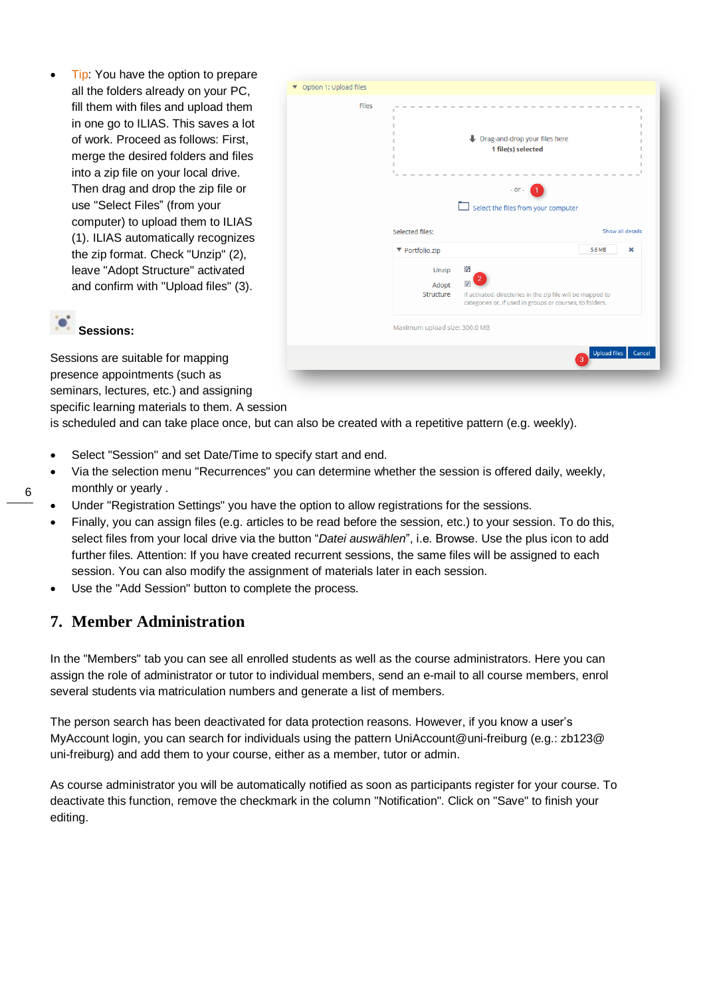• Tip: You have the option to prepare all the folders already on your PC, fill them with files and upload them in one go to ILIAS. This saves a lot of work. Proceed as follows: First, merge the desired folders and files into a zip file on your local drive. Then drag and drop the zip file or use "Select Files" (from your computer) to upload them to ILIAS (1). ILIAS automatically recognizes the zip format. Check "Unzip" (2), leave "Adopt Structure" activated and confirm with "Upload files" (3).



## **Sessions:**

Sessions are suitable for mapping presence appointments (such as seminars, lectures, etc.) and assigning specific learning materials to them. A session

is scheduled and can take place once, but can also be created with a repetitive pattern (e.g. weekly).

- Select "Session" and set Date/Time to specify start and end.
- Via the selection menu "Recurrences" you can determine whether the session is offered daily, weekly, monthly or yearly .
- Under "Registration Settings" you have the option to allow registrations for the sessions.
- Finally, you can assign files (e.g. articles to be read before the session, etc.) to your session. To do this, select files from your local drive via the button "*Datei auswählen*", i.e. Browse. Use the plus icon to add further files. Attention: If you have created recurrent sessions, the same files will be assigned to each session. You can also modify the assignment of materials later in each session.
- Use the "Add Session" button to complete the process.

## <span id="page-5-0"></span>**7. Member Administration**

In the "Members" tab you can see all enrolled students as well as the course administrators. Here you can assign the role of administrator or tutor to individual members, send an e-mail to all course members, enrol several students via matriculation numbers and generate a list of members.

The person search has been deactivated for data protection reasons. However, if you know a user's MyAccount login, you can search for individuals using the pattern UniAccount@uni-freiburg (e.g.: zb123@ uni-freiburg) and add them to your course, either as a member, tutor or admin.

As course administrator you will be automatically notified as soon as participants register for your course. To deactivate this function, remove the checkmark in the column "Notification". Click on "Save" to finish your editing.

6